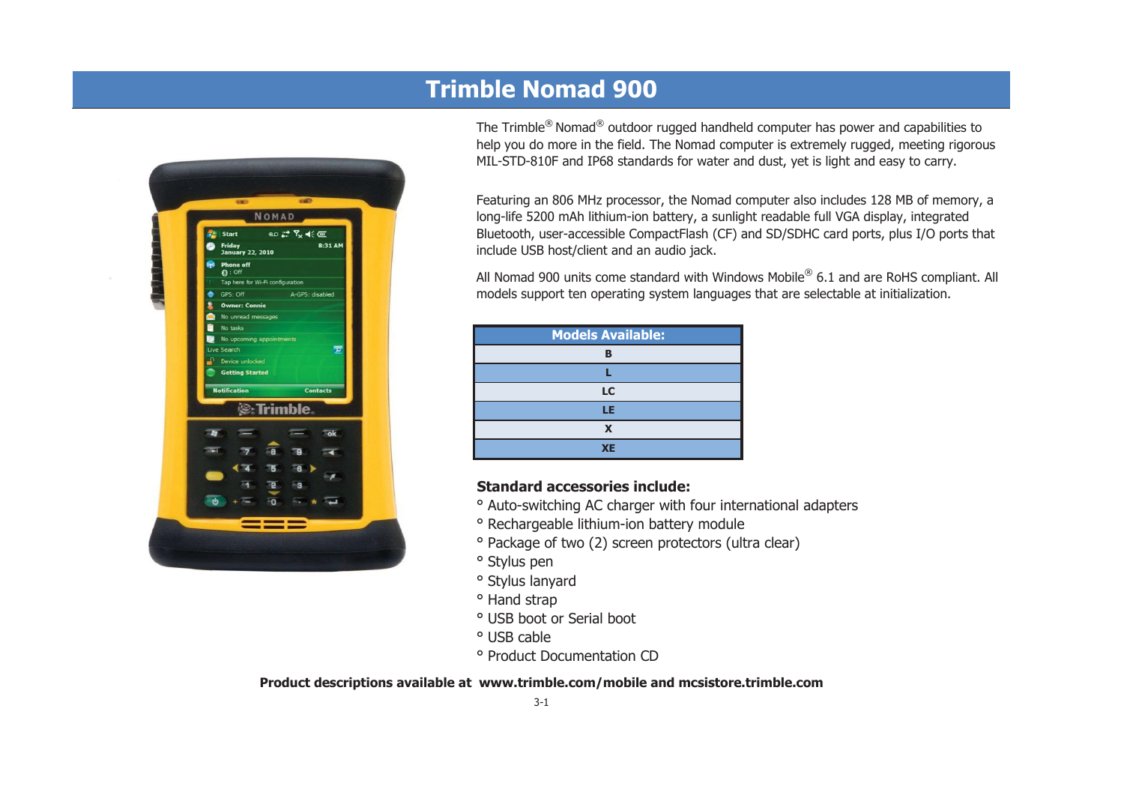

# **Trimble Nomad 900**

The Trimble® Nomad® outdoor rugged handheld computer has power and capabilities to help you do more in the field. The Nomad computer is extremely rugged, meeting rigorous MIL-STD-810F and IP68 standards for water and dust, yet is light and easy to carry.

Featuring an 806 MHz processor, the Nomad computer also includes 128 MB of memory, a long-life 5200 mAh lithium-ion battery, a sunlight readable full VGA display, integrated Bluetooth, user-accessible CompactFlash (CF) and SD/SDHC card ports, plus I/O ports that include USB host/client and an audio jack.

All Nomad 900 units come standard with Windows Mobile® 6.1 and are RoHS compliant. All models support ten operating system languages that are selectable at initialization.

| <b>Models Available:</b> |
|--------------------------|
| B                        |
|                          |
| LC                       |
| LE                       |
| X                        |
| <b>XE</b>                |

## **Standard accessories include:**

- ° Auto-switching AC charger with four international adapters
- ° Rechargeable lithium-ion battery module
- ° Package of two (2) screen protectors (ultra clear)
- ° Stylus pen
- ° Stylus lanyard
- ° Hand strap
- ° USB boot or Serial boot
- ° USB cable
- ° Product Documentation CD

**Product descriptions available at www.trimble.com/mobile and mcsistore.trimble.com**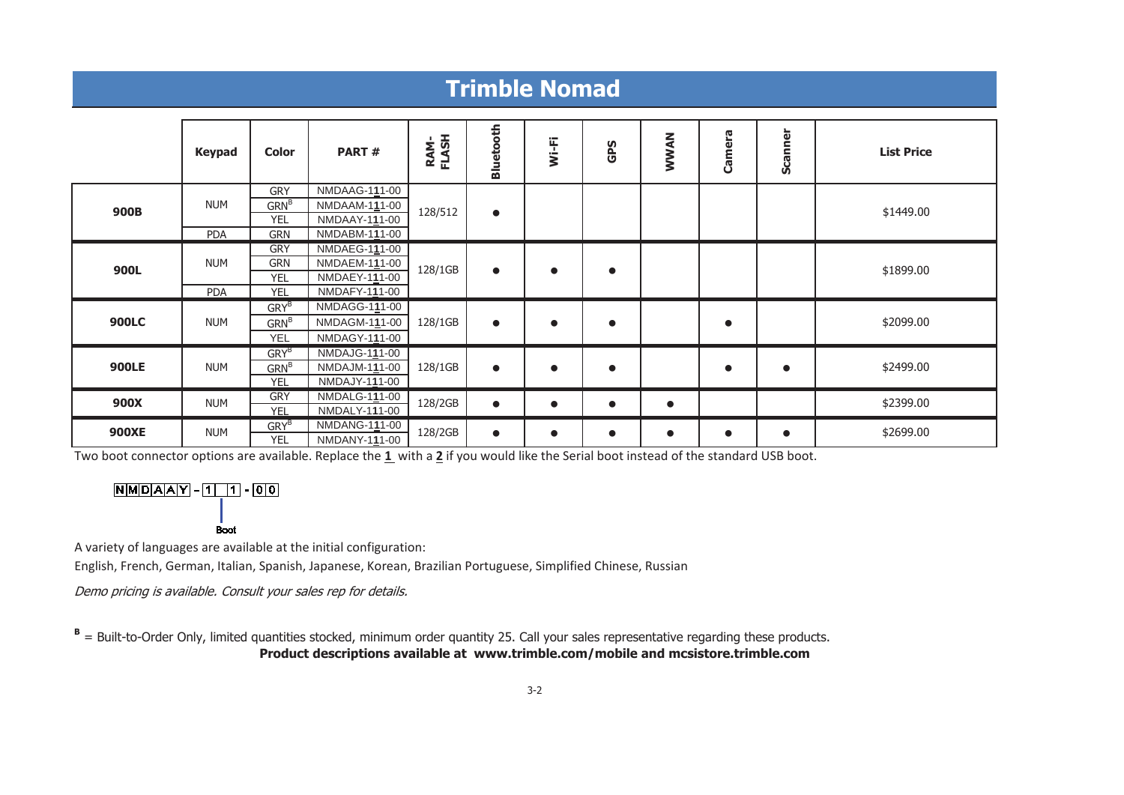#### **Trimble Nomad Bluetooth Bluetooth WWAN Camera Scanner List Price Wi-Fi RAM-FLASH GPS Keypad Color PART # GRY**  NMDAAG-1**1**1-00 NUMGRN<sup>B</sup> NMDAAM-1**1**1-00 **900B**\$1449.00 **B** NMDAAY-111-00 128/512 YELPDA GRN NMDABM-1**1**1-00 **GRY**  NMDAEG-1**1**1-00 NUM**GRN**  NMDAEM-1**1**1-00 **900L**128/1GB \$1899.00 NMDAEY-1**1**1-00 ●●●YELPDA YEL NMDAFY-1**1**1-00 GRY<sup>B</sup> NMDAGG-1**1**1-00 **900LC**128/1GB \$2099.00 GRN<sup>B</sup> NMDAGM-1**1**1-00 NUM ● $\bullet$  ● ● YEL NMDAGY-1**1**1-00 GRY<sup>B</sup> NMDAJG-1**1**1-00 **900LE** NUM\$2499.00 GRN<sup>B</sup> NMDAJM-1**1**1-00 128/1GB ●● ●●●YEL NMDAJY-1**1**1-00 **GRY**  NMDALG-1**1**1-00 **900X** NUM 128/2GB \$2399.00 ●●●●YEL NMDALY-1**1**1-00 GRY<sup>B</sup> NMDANG-1**1**1-00 **900XE**NUM  $GKY^2$  NWDANG-111-00 128/2GB  $\bullet$ \$2699.00  $\bullet$ ● ● ● ● NMDANY-1**1**1-00 YEL

Two boot connector options are available. Replace the **1** with a **2** if you would like the Serial boot instead of the standard USB boot.

 $NMDAAY - 11$  1 - 00

Boot

A variety of languages are available at the initial configuration:

English, French, German, Italian, Spanish, Japanese, Korean, Brazilian Portuguese, Simplified Chinese, Russian

Demo pricing is available. Consult your sales rep for details.

**B** = Built-to-Order Only, limited quantities stocked, minimum order quantity 25. Call your sales representative regarding these products. **Product descriptions available at www.trimble.com/mobile and mcsistore.trimble.com**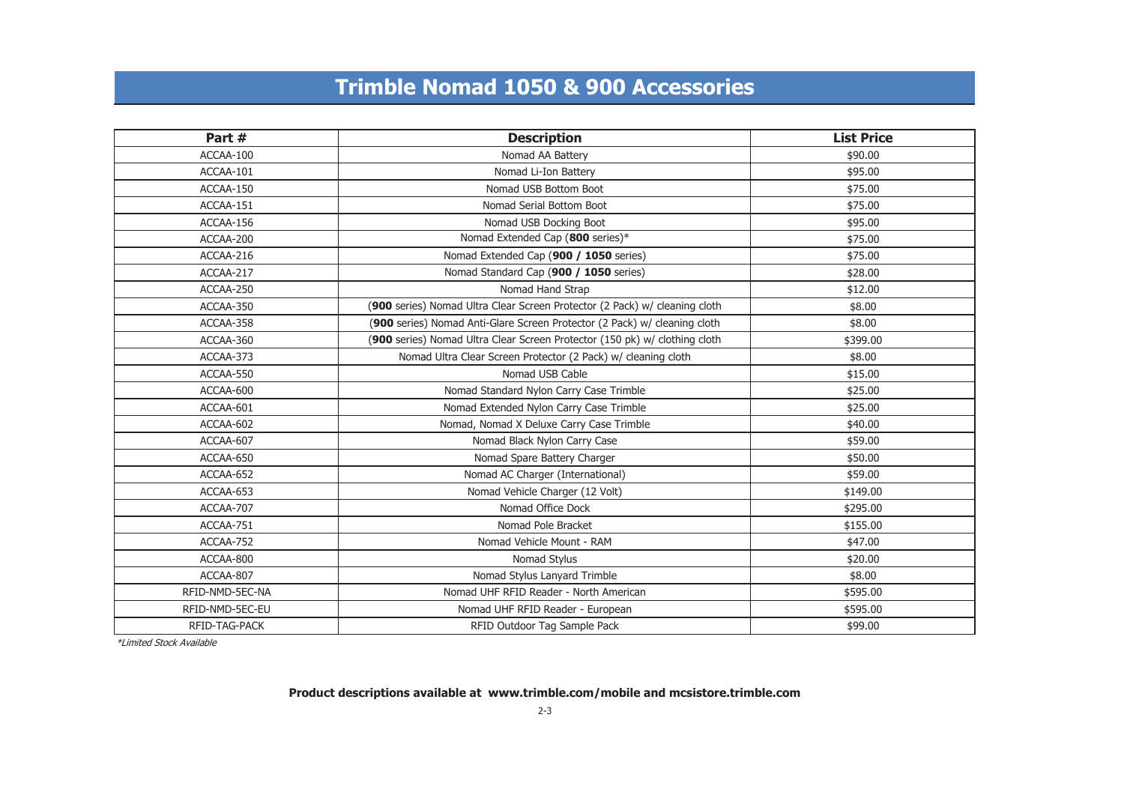## **Trimble Nomad 1050 & 900 Accessories**

| Part #          | <b>Description</b>                                                         | <b>List Price</b> |
|-----------------|----------------------------------------------------------------------------|-------------------|
| ACCAA-100       | Nomad AA Battery                                                           | \$90.00           |
| ACCAA-101       | Nomad Li-Ion Battery                                                       | \$95.00           |
| ACCAA-150       | Nomad USB Bottom Boot                                                      | \$75.00           |
| ACCAA-151       | Nomad Serial Bottom Boot                                                   | \$75.00           |
| ACCAA-156       | Nomad USB Docking Boot                                                     | \$95.00           |
| ACCAA-200       | Nomad Extended Cap (800 series)*                                           | \$75.00           |
| ACCAA-216       | Nomad Extended Cap (900 / 1050 series)                                     | \$75.00           |
| ACCAA-217       | Nomad Standard Cap (900 / 1050 series)                                     | \$28.00           |
| ACCAA-250       | Nomad Hand Strap                                                           | \$12.00           |
| ACCAA-350       | (900 series) Nomad Ultra Clear Screen Protector (2 Pack) w/ cleaning cloth | \$8.00            |
| ACCAA-358       | (900 series) Nomad Anti-Glare Screen Protector (2 Pack) w/ cleaning cloth  | \$8.00            |
| ACCAA-360       | (900 series) Nomad Ultra Clear Screen Protector (150 pk) w/ clothing cloth | \$399.00          |
| ACCAA-373       | Nomad Ultra Clear Screen Protector (2 Pack) w/ cleaning cloth              | \$8.00            |
| ACCAA-550       | Nomad USB Cable                                                            | \$15.00           |
| ACCAA-600       | Nomad Standard Nylon Carry Case Trimble                                    | \$25.00           |
| ACCAA-601       | Nomad Extended Nylon Carry Case Trimble                                    | \$25.00           |
| ACCAA-602       | Nomad, Nomad X Deluxe Carry Case Trimble                                   | \$40.00           |
| ACCAA-607       | Nomad Black Nylon Carry Case                                               | \$59.00           |
| ACCAA-650       | Nomad Spare Battery Charger                                                | \$50.00           |
| ACCAA-652       | Nomad AC Charger (International)                                           | \$59.00           |
| ACCAA-653       | Nomad Vehicle Charger (12 Volt)                                            | \$149.00          |
| ACCAA-707       | Nomad Office Dock                                                          | \$295.00          |
| ACCAA-751       | Nomad Pole Bracket                                                         | \$155.00          |
| ACCAA-752       | Nomad Vehicle Mount - RAM                                                  | \$47.00           |
| ACCAA-800       | Nomad Stylus                                                               | \$20.00           |
| ACCAA-807       | Nomad Stylus Lanyard Trimble                                               | \$8.00            |
| RFID-NMD-5EC-NA | Nomad UHF RFID Reader - North American                                     | \$595.00          |
| RFID-NMD-5EC-EU | Nomad UHF RFID Reader - European                                           | \$595.00          |
| RFID-TAG-PACK   | RFID Outdoor Tag Sample Pack                                               | \$99.00           |

\*Limited Stock Available

### **Product descriptions available at www.trimble.com/mobile and mcsistore.trimble.com**